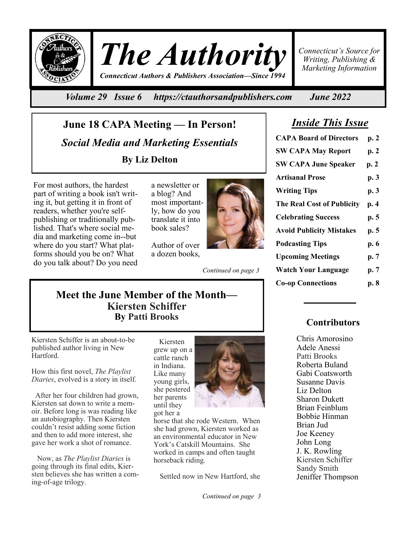

*The Authority Connecticut Authors & Publishers Association—Since 1994*

*Connecticut's Source for Writing, Publishing & Marketing Information*

*Volume 29 Issue 6 https://ctauthorsandpublishers.com June 2022*

**June 18 CAPA Meeting — In Person!**  *Social Media and Marketing Essentials*  **By Liz Delton**

For most authors, the hardest part of writing a book isn't writing it, but getting it in front of readers, whether you're selfpublishing or traditionally published. That's where social media and marketing come in--but where do you start? What platforms should you be on? What do you talk about? Do you need a newsletter or a blog? And most importantly, how do you translate it into book sales?

Author of over a dozen books,

*Continued on page 3*

*Inside This Issue*

| <b>CAPA Board of Directors</b>    | p. 2 |
|-----------------------------------|------|
| <b>SW CAPA May Report</b>         | p.2  |
| <b>SW CAPA June Speaker</b>       | p.2  |
| <b>Artisanal Prose</b>            | p. 3 |
| <b>Writing Tips</b>               | p. 3 |
| <b>The Real Cost of Publicity</b> | p. 4 |
| <b>Celebrating Success</b>        | p. 5 |
| <b>Avoid Publicity Mistakes</b>   | p. 5 |
| <b>Podcasting Tips</b>            | p. 6 |
| <b>Upcoming Meetings</b>          | p. 7 |
| <b>Watch Your Language</b>        | p. 7 |
| <b>Co-op Connections</b>          | p. 8 |

## **Meet the June Member of the Month— Kiersten Schiffer By Patti Brooks**

Kiersten Schiffer is an about-to-be published author living in New Hartford.

How this first novel, *The Playlist Diaries*, evolved is a story in itself.

 After her four children had grown, Kiersten sat down to write a memoir. Before long is was reading like an autobiography. Then Kiersten couldn't resist adding some fiction and then to add more interest, she gave her work a shot of romance.

 Now, as *The Playlist Diaries* is going through its final edits, Kiersten believes she has written a coming-of-age trilogy.

 Kiersten grew up on a cattle ranch in Indiana. Like many young girls, she pestered her parents until they got her a



horse that she rode Western. When she had grown, Kiersten worked as an environmental educator in New York's Catskill Mountains. She worked in camps and often taught horseback riding.

Settled now in New Hartford, she

*Continued on page 3*

## **Contributors**

Chris Amorosino Adele Anessi Patti Brooks Roberta Buland Gabi Coatsworth Susanne Davis Liz Delton Sharon Dukett Brian Feinblum Bobbie Hinman Brian Jud Joe Keeney John Long J. K. Rowling Kiersten Schiffer Sandy Smith Jeniffer Thompson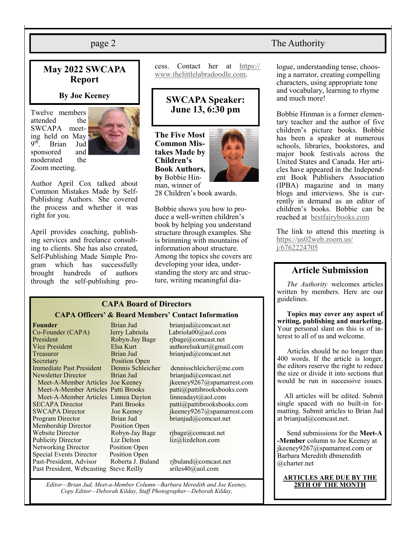## **May 2022 SWCAPA Report**

#### **By Joe Keeney**

Twelve members attended the SWCAPA meeting held on May  $9<sup>th</sup>$ . Brian Jud sponsored and moderated the Zoom meeting.



Author April Cox talked about Common Mistakes Made by Self-Publishing Authors. She covered the process and whether it was right for you.

April provides coaching, publishing services and freelance consulting to clients. She has also created, Self-Publishing Made Simple Program which has successfully brought hundreds of authors through the self-publishing process. Contact her at [https://](https://www.thelittlelabradoodle.com) [www.thelittlelabradoodle.com.](https://www.thelittlelabradoodle.com)

## **SWCAPA Speaker: June 13, 6:30 pm**

**The Five Most Common Mistakes Made by Children's Book Authors, by** Bobbie Hinman, winner of



28 Children's book awards.

Bobbie shows you how to produce a well-written children's book by helping you understand structure through examples. She is brimming with mountains of information about structure. Among the topics she covers are developing your idea, understanding the story arc and structure, writing meaningful dia-

### **CAPA Board of Directors CAPA Officers' & Board Members' Contact Information**

**Founder** Brian Jud brianjud@comcast.net<br>
Co-Founder (CAPA) Jerry Labriola Labriola00@aol.com Co-Founder (CAPA) Jerry Labriola<br>President Robyn-Jay Bage President Robyn-Jay Bage rjbage@comcast.net<br>
Vice President Elsa Kurt authorelsakurt@gma Treasurer Brian Jud brianjud@comcast.net Secretary Position Open Immediate Past President Dennis Schleicher dennisschleicher@me.com Newsletter Director Brian Jud brianjud@comcast.net Meet-A-Member Articles Patti Brooks patti@pattibrooksbooks.com Meet-A-Member Articles Linnea Dayton linneadayt@aol.com<br>SECAPA Director Patti Brooks patti@pattibrooksboo Program Director Brian Jud brianjud@comcast.net Membership Director Position Open<br>Website Director Robyn-Jay Bag Publicity Director Liz Delton liz@lizdelton.com Networking Director Position Open Special Events Director Position Open Past-President, Advisor Roberta J. Buland rjbuland@comcast.net Past President, Webcasting Steve Reilly sriles40@aol.com

 $Robyn\text{-} Jay Bage$  rjbage@comcast.net

authorelsakurt@gmail.com Meet-A-Member Articles Joe Keeney ikeeney9267@spamarrest.com

Patti Brooks patti $\omega$ pattibrooksbooks.com SWCAPA Director Joe Keeney ikeeney9267@spamarrest.com

*Editor—Brian Jud, Meet-a-Member Column—Barbara Meredith and Joe Keeney, Copy Editor—Deborah Kilday, Staff Photographer—Deborah Kilday,* 

#### page 2 The Authority

logue, understanding tense, choosing a narrator, creating compelling characters, using appropriate tone and vocabulary, learning to rhyme and much more!

Bobbie Hinman is a former elementary teacher and the author of five children's picture books. Bobbie has been a speaker at numerous schools, libraries, bookstores, and major book festivals across the United States and Canada. Her articles have appeared in the Independent Book Publishers Association (IPBA) magazine and in many blogs and interviews. She is currently in demand as an editor of children's books. Bobbie can be reached at [bestfairybooks.com](http://www.bestfairybooks.com)

The link to attend this meeting is [https://us02web.zoom.us/](https://us02web.zoom.us/j/6762224705) [j/6762224705](https://us02web.zoom.us/j/6762224705)

### **Article Submission**

*The Authority* welcomes articles written by members. Here are our guidelines.

**Topics may cover any aspect of writing, publishing and marketing.**  Your personal slant on this is of interest to all of us and welcome.

Articles should be no longer than 400 words. If the article is longer, the editors reserve the right to reduce the size or divide it into sections that would be run in successive issues.

 All articles will be edited. Submit single spaced with no built-in formatting. Submit articles to Brian Jud at brianjud@comcast.net.

Send submissions for the **Meet-A -Member** column to Joe Keeney at jkeeney9267@spamarrest.com or Barbara Meredith dbmeredith @charter.net

# **ARTICLES ARE DUE BY THE**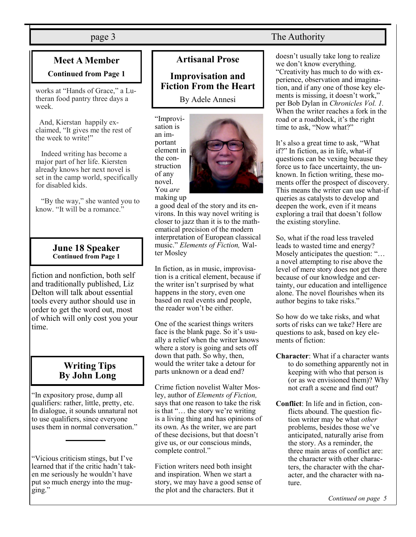## **Meet A Member Continued from Page 1**

works at "Hands of Grace," a Lutheran food pantry three days a week.

And, Kierstan happily exclaimed, "It gives me the rest of the week to write!"

 Indeed writing has become a major part of her life. Kiersten already knows her next novel is set in the camp world, specifically for disabled kids.

 "By the way," she wanted you to know. "It will be a romance."

#### **June 18 Speaker Continued from Page 1**

fiction and nonfiction, both self and traditionally published, Liz Delton will talk about essential tools every author should use in order to get the word out, most of which will only cost you your time.

## **Writing Tips By John Long**

"In expository prose, dump all qualifiers: rather, little, pretty, etc. In dialogue, it sounds unnatural not to use qualifiers, since everyone uses them in normal conversation."

"Vicious criticism stings, but I've learned that if the critic hadn't taken me seriously he wouldn't have put so much energy into the mugging."

## **Artisanal Prose**

**Improvisation and Fiction From the Heart**

By Adele Annesi

"Improvisation is an important element in the construction of any novel. You *are*



making up

a good deal of the story and its environs. In this way novel writing is closer to jazz than it is to the mathematical precision of the modern interpretation of European classical music." *Elements of Fiction,* Walter Mosley

In fiction, as in music, improvisation is a critical element, because if the writer isn't surprised by what happens in the story, even one based on real events and people, the reader won't be either.

One of the scariest things writers face is the blank page. So it's usually a relief when the writer knows where a story is going and sets off down that path. So why, then, would the writer take a detour for parts unknown or a dead end?

Crime fiction novelist Walter Mosley, author of *Elements of Fiction,* says that one reason to take the risk is that "… the story we're writing is a living thing and has opinions of its own. As the writer, we are part of these decisions, but that doesn't give us, or our conscious minds, complete control."

Fiction writers need both insight and inspiration. When we start a story, we may have a good sense of the plot and the characters. But it

## page 3 The Authority

doesn't usually take long to realize we don't know everything. "Creativity has much to do with experience, observation and imagination, and if any one of those key elements is missing, it doesn't work," per Bob Dylan in *Chronicles Vol. 1.* When the writer reaches a fork in the road or a roadblock, it's the right time to ask, "Now what?"

It's also a great time to ask, "What if?" In fiction, as in life, what-if questions can be vexing because they force us to face uncertainty, the unknown. In fiction writing, these moments offer the prospect of discovery. This means the writer can use what-if queries as catalysts to develop and deepen the work, even if it means exploring a trail that doesn't follow the existing storyline.

So, what if the road less traveled leads to wasted time and energy? Mosely anticipates the question: "… a novel attempting to rise above the level of mere story does not get there because of our knowledge and certainty, our education and intelligence alone. The novel flourishes when its author begins to take risks."

So how do we take risks, and what sorts of risks can we take? Here are questions to ask, based on key elements of fiction:

- **Character**: What if a character wants to do something apparently not in keeping with who that person is (or as we envisioned them)? Why not craft a scene and find out?
- **Conflict**: In life and in fiction, conflicts abound. The question fiction writer may be what *other* problems, besides those we've anticipated, naturally arise from the story. As a reminder, the three main areas of conflict are: the character with other characters, the character with the character, and the character with nature.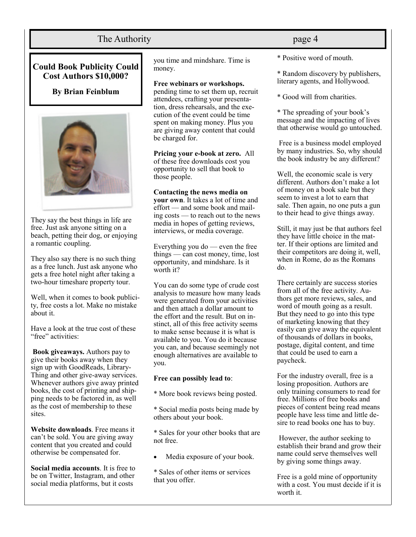## The Authority **page 4**

### **Could Book Publicity Could Cost Authors \$10,000?**

**By Brian Feinblum**



They say the best things in life are free. Just ask anyone sitting on a beach, petting their dog, or enjoying a romantic coupling.

They also say there is no such thing as a free lunch. Just ask anyone who gets a free hotel night after taking a two-hour timeshare property tour.

Well, when it comes to book publicity, free costs a lot. Make no mistake about it.

Have a look at the true cost of these "free" activities:

**Book giveaways.** Authors pay to give their books away when they sign up with GoodReads, Library-Thing and other give-away services. Whenever authors give away printed books, the cost of printing and shipping needs to be factored in, as well as the cost of membership to these sites.

**Website downloads**. Free means it can't be sold. You are giving away content that you created and could otherwise be compensated for.

**Social media accounts**. It is free to be on Twitter, Instagram, and other social media platforms, but it costs

you time and mindshare. Time is money.

#### **Free webinars or workshops.**

pending time to set them up, recruit attendees, crafting your presentation, dress rehearsals, and the execution of the event could be time spent on making money. Plus you are giving away content that could be charged for.

**Pricing your e-book at zero.** All of these free downloads cost you opportunity to sell that book to those people.

#### **Contacting the news media on**

**your own**. It takes a lot of time and effort — and some book and mailing costs — to reach out to the news media in hopes of getting reviews, interviews, or media coverage.

Everything you do — even the free things — can cost money, time, lost opportunity, and mindshare. Is it worth it?

You can do some type of crude cost analysis to measure how many leads were generated from your activities and then attach a dollar amount to the effort and the result. But on instinct, all of this free activity seems to make sense because it is what is available to you. You do it because you can, and because seemingly not enough alternatives are available to you.

#### **Free can possibly lead to**:

\* More book reviews being posted.

\* Social media posts being made by others about your book.

\* Sales for your other books that are not free.

Media exposure of your book.

\* Sales of other items or services that you offer.

\* Positive word of mouth.

\* Random discovery by publishers, literary agents, and Hollywood.

\* Good will from charities.

\* The spreading of your book's message and the impacting of lives that otherwise would go untouched.

Free is a business model employed by many industries. So, why should the book industry be any different?

Well, the economic scale is very different. Authors don't make a lot of money on a book sale but they seem to invest a lot to earn that sale. Then again, no one puts a gun to their head to give things away.

Still, it may just be that authors feel they have little choice in the matter. If their options are limited and their competitors are doing it, well, when in Rome, do as the Romans do.

There certainly are success stories from all of the free activity. Authors get more reviews, sales, and word of mouth going as a result. But they need to go into this type of marketing knowing that they easily can give away the equivalent of thousands of dollars in books, postage, digital content, and time that could be used to earn a paycheck.

For the industry overall, free is a losing proposition. Authors are only training consumers to read for free. Millions of free books and pieces of content being read means people have less time and little desire to read books one has to buy.

However, the author seeking to establish their brand and grow their name could serve themselves well by giving some things away.

Free is a gold mine of opportunity with a cost. You must decide if it is worth it.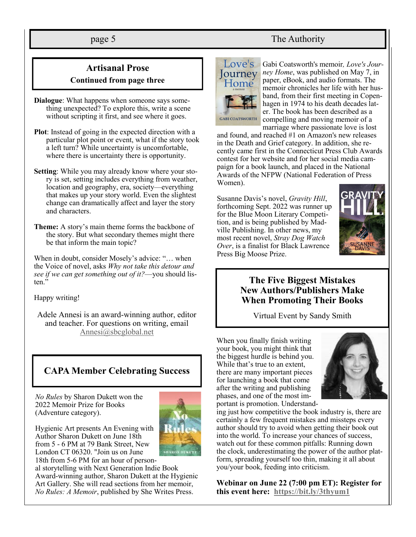## page 5 The Authority

## **Artisanal Prose Continued from page three**

- **Dialogue**: What happens when someone says something unexpected? To explore this, write a scene without scripting it first, and see where it goes.
- **Plot**: Instead of going in the expected direction with a particular plot point or event, what if the story took a left turn? While uncertainty is uncomfortable, where there is uncertainty there is opportunity.
- **Setting**: While you may already know where your story is set, setting includes everything from weather, location and geography, era, society—everything that makes up your story world. Even the slightest change can dramatically affect and layer the story and characters.
- **Theme:** A story's main theme forms the backbone of the story. But what secondary themes might there be that inform the main topic?

When in doubt, consider Mosely's advice: "… when the Voice of novel, asks *Why not take this detour and see if we can get something out of it?*—you should listen."

Happy writing!

Adele Annesi is an award-winning author, editor and teacher. For questions on writing, email Annesi@sbcglobal.net

## **CAPA Member Celebrating Success**

*No Rules* by Sharon Dukett won the 2022 Memoir Prize for Books (Adventure category).

Author Sharon Dukett on June 18th from 5 - 6 PM at 79 Bank Street, New London CT 06320. "Join us on June 18th from 5-6 PM for an hour of person-

Hygienic Art presents An Evening with

al storytelling with Next Generation Indie Book Award-winning author, Sharon Dukett at the Hygienic Art Gallery. She will read sections from her memoir, *No Rules: A Memoir*, published by She Writes Press.



Gabi Coatsworth's memoir*, Love's Journey Home*, was published on May 7, in paper, eBook, and audio formats. The memoir chronicles her life with her husband, from their first meeting in Copenhagen in 1974 to his death decades later. The book has been described as a compelling and moving memoir of a marriage where passionate love is lost

and found, and reached #1 on Amazon's new releases in the Death and Grief category. In addition, she recently came first in the Connecticut Press Club Awards contest for her website and for her social media campaign for a book launch, and placed in the National Awards of the NFPW (National Federation of Press Women).

Susanne Davis's novel, *Gravity Hill*, forthcoming Sept. 2022 was runner up for the Blue Moon Literary Competition, and is being published by Madville Publishing. In other news, my most recent novel, *Stray Dog Watch Over*, is a finalist for Black Lawrence Press Big Moose Prize.



### **The Five Biggest Mistakes New Authors/Publishers Make When Promoting Their Books**

Virtual Event by Sandy Smith

When you finally finish writing your book, you might think that the biggest hurdle is behind you. While that's true to an extent, there are many important pieces for launching a book that come after the writing and publishing phases, and one of the most important is promotion. Understand-



ing just how competitive the book industry is, there are certainly a few frequent mistakes and missteps every author should try to avoid when getting their book out into the world. To increase your chances of success, watch out for these common pitfalls: Running down the clock, underestimating the power of the author platform, spreading yourself too thin, making it all about you/your book, feeding into criticism.

**Webinar on June 22 (7:00 pm ET): Register for this event here: <https://bit.ly/3thyum1>**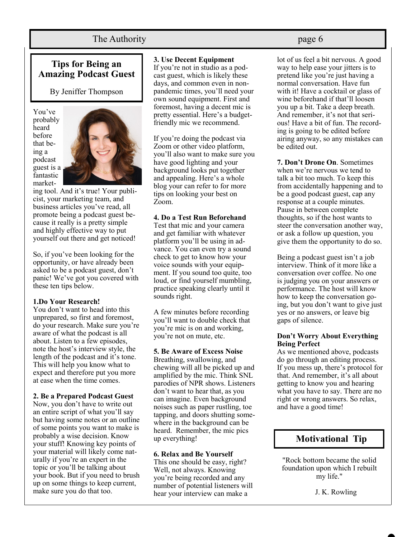## The Authority **page 6**

## **Tips for Being an Amazing Podcast Guest**

By Jeniffer Thompson

You've probably heard before that being a podcast guest is a fantastic market-



ing tool. And it's true! Your publicist, your marketing team, and business articles you've read, all promote being a podcast guest because it really is a pretty simple and highly effective way to put yourself out there and get noticed!

So, if you've been looking for the opportunity, or have already been asked to be a podcast guest, don't panic! We've got you covered with these ten tips below.

#### **1.Do Your Research!**

You don't want to head into this unprepared, so first and foremost, do your research. Make sure you're aware of what the podcast is all about. Listen to a few episodes, note the host's interview style, the length of the podcast and it's tone. This will help you know what to expect and therefore put you more at ease when the time comes.

#### **2. Be a Prepared Podcast Guest**

Now, you don't have to write out an entire script of what you'll say but having some notes or an outline of some points you want to make is probably a wise decision. Know your stuff! Knowing key points of your material will likely come naturally if you're an expert in the topic or you'll be talking about your book. But if you need to brush up on some things to keep current, make sure you do that too.

#### **3. Use Decent Equipment**

If you're not in studio as a podcast guest, which is likely these days, and common even in nonpandemic times, you'll need your own sound equipment. First and foremost, having a decent mic is pretty essential. Here's a budgetfriendly mic we recommend.

If you're doing the podcast via Zoom or other video platform, you'll also want to make sure you have good lighting and your background looks put together and appealing. Here's a whole blog your can refer to for more tips on looking your best on Zoom.

#### **4. Do a Test Run Beforehand**

Test that mic and your camera and get familiar with whatever platform you'll be using in advance. You can even try a sound check to get to know how your voice sounds with your equipment. If you sound too quite, too loud, or find yourself mumbling, practice speaking clearly until it sounds right.

A few minutes before recording you'll want to double check that you're mic is on and working, you're not on mute, etc.

#### **5. Be Aware of Excess Noise**

Breathing, swallowing, and chewing will all be picked up and amplified by the mic. Think SNL parodies of NPR shows. Listeners don't want to hear that, as you can imagine. Even background noises such as paper rustling, toe tapping, and doors shutting somewhere in the background can be heard. Remember, the mic pics up everything!

#### **6. Relax and Be Yourself**

This one should be easy, right? Well, not always. Knowing you're being recorded and any number of potential listeners will hear your interview can make a

lot of us feel a bit nervous. A good way to help ease your jitters is to pretend like you're just having a normal conversation. Have fun with it! Have a cocktail or glass of wine beforehand if that'll loosen you up a bit. Take a deep breath. And remember, it's not that serious! Have a bit of fun. The recording is going to be edited before airing anyway, so any mistakes can be edited out.

**7. Don't Drone On**. Sometimes when we're nervous we tend to talk a bit too much. To keep this from accidentally happening and to be a good podcast guest, cap any response at a couple minutes. Pause in between complete thoughts, so if the host wants to steer the conversation another way, or ask a follow up question, you give them the opportunity to do so.

Being a podcast guest isn't a job interview. Think of it more like a conversation over coffee. No one is judging you on your answers or performance. The host will know how to keep the conversation going, but you don't want to give just yes or no answers, or leave big gaps of silence.

#### **Don't Worry About Everything Being Perfect**

As we mentioned above, podcasts do go through an editing process. If you mess up, there's protocol for that. And remember, it's all about getting to know you and hearing what you have to say. There are no right or wrong answers. So relax, and have a good time!



"Rock bottom became the solid foundation upon which I rebuilt my life."

J. K. Rowling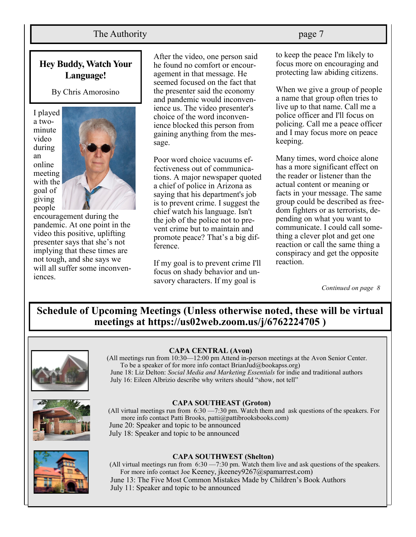## The Authority **page 7**

## **Hey Buddy, Watch Your Language!**

By Chris Amorosino

I played a twominute video during an online meeting with the goal of giving people



encouragement during the pandemic. At one point in the video this positive, uplifting presenter says that she's not implying that these times are not tough, and she says we will all suffer some inconveniences.

After the video, one person said he found no comfort or encouragement in that message. He seemed focused on the fact that the presenter said the economy and pandemic would inconvenience us. The video presenter's choice of the word inconvenience blocked this person from gaining anything from the message.

Poor word choice vacuums effectiveness out of communications. A major newspaper quoted a chief of police in Arizona as saying that his department's job is to prevent crime. I suggest the chief watch his language. Isn't the job of the police not to prevent crime but to maintain and promote peace? That's a big difference.

If my goal is to prevent crime I'll focus on shady behavior and unsavory characters. If my goal is

to keep the peace I'm likely to focus more on encouraging and protecting law abiding citizens.

When we give a group of people a name that group often tries to live up to that name. Call me a police officer and I'll focus on policing. Call me a peace officer and I may focus more on peace keeping.

Many times, word choice alone has a more significant effect on the reader or listener than the actual content or meaning or facts in your message. The same group could be described as freedom fighters or as terrorists, depending on what you want to communicate. I could call something a clever plot and get one reaction or call the same thing a conspiracy and get the opposite reaction.

*Continued on page 8*

**Schedule of Upcoming Meetings (Unless otherwise noted, these will be virtual meetings at https://us02web.zoom.us/j/6762224705 )**



#### **CAPA CENTRAL (Avon)**

(All meetings run from 10:30—12:00 pm Attend in-person meetings at the Avon Senior Center. To be a speaker of for more info contact BrianJud@bookapss.org) June 18: Liz Delton: *Social Media and Marketing Essentials* for indie and traditional authors July 16: Eileen Albrizio describe why writers should "show, not tell"



#### **CAPA SOUTHEAST (Groton)**

(All virtual meetings run from 6:30 —7:30 pm. Watch them and ask questions of the speakers. For more info contact Patti Brooks, patti@pattibrooksbooks.com) June 20: Speaker and topic to be announced July 18: Speaker and topic to be announced



#### **CAPA SOUTHWEST (Shelton)**

(All virtual meetings run from 6:30 —7:30 pm. Watch them live and ask questions of the speakers. For more info contact Joe Keeney, jkeeney9267@spamarrest.com) June 13: The Five Most Common Mistakes Made by Children's Book Authors July 11: Speaker and topic to be announced